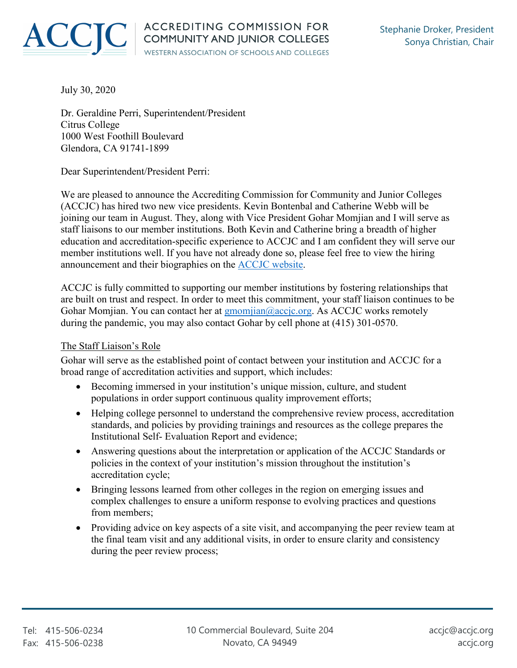

July 30, 2020

Dr. Geraldine Perri, Superintendent/President Citrus College 1000 West Foothill Boulevard Glendora, CA 91741-1899

Dear Superintendent/President Perri:

We are pleased to announce the Accrediting Commission for Community and Junior Colleges (ACCJC) has hired two new vice presidents. Kevin Bontenbal and Catherine Webb will be joining our team in August. They, along with Vice President Gohar Momjian and I will serve as staff liaisons to our member institutions. Both Kevin and Catherine bring a breadth of higher education and accreditation-specific experience to ACCJC and I am confident they will serve our member institutions well. If you have not already done so, please feel free to view the hiring announcement and their biographies on the [ACCJC website.](https://accjc.org/announcement/accjc-hires-two-vice-presidents/)

ACCJC is fully committed to supporting our member institutions by fostering relationships that are built on trust and respect. In order to meet this commitment, your staff liaison continues to be Gohar Momjian. You can contact her at gmomjian@accjc.org. As ACCJC works remotely during the pandemic, you may also contact Gohar by cell phone at (415) 301-0570.

## The Staff Liaison's Role

Gohar will serve as the established point of contact between your institution and ACCJC for a broad range of accreditation activities and support, which includes:

- Becoming immersed in your institution's unique mission, culture, and student populations in order support continuous quality improvement efforts;
- Helping college personnel to understand the comprehensive review process, accreditation standards, and policies by providing trainings and resources as the college prepares the Institutional Self- Evaluation Report and evidence;
- Answering questions about the interpretation or application of the ACCJC Standards or policies in the context of your institution's mission throughout the institution's accreditation cycle;
- Bringing lessons learned from other colleges in the region on emerging issues and complex challenges to ensure a uniform response to evolving practices and questions from members;
- Providing advice on key aspects of a site visit, and accompanying the peer review team at the final team visit and any additional visits, in order to ensure clarity and consistency during the peer review process;